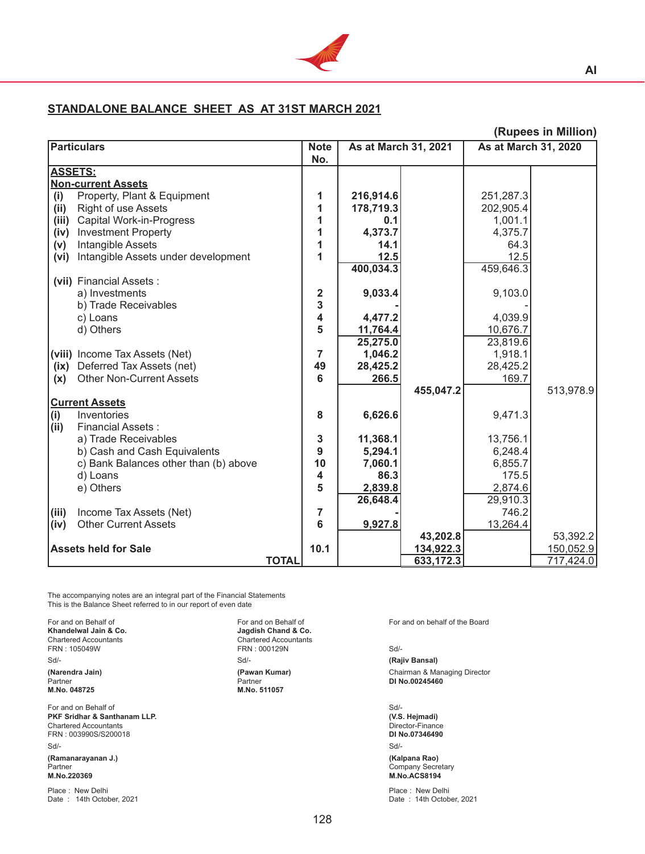

## **STANDALONE BALANCE SHEET AS AT 31ST MARCH 2021**

| <b>Particulars</b><br>As at March 31, 2021<br>As at March 31, 2020<br><b>Note</b><br>No.<br><b>ASSETS:</b><br><b>Non-current Assets</b><br>Property, Plant & Equipment<br>(i)<br>216,914.6<br>251,287.3<br>1<br>Right of use Assets<br>178,719.3<br>(ii)<br>1<br>202,905.4<br><b>Capital Work-in-Progress</b><br>(iii)<br>1<br>1,001.1<br>0.1<br>4,373.7<br>4,375.7<br><b>Investment Property</b><br>1<br>(iv)<br>Intangible Assets<br>1<br>64.3<br>14.1<br>(v)<br>12.5<br>12.5<br>Intangible Assets under development<br>1<br>(vi)<br>400,034.3<br>459,646.3<br>(vii) Financial Assets :<br>9,033.4<br>9,103.0<br>$\mathbf 2$<br>a) Investments<br>3<br>b) Trade Receivables<br>4<br>4,477.2<br>4,039.9<br>c) Loans |                       |
|----------------------------------------------------------------------------------------------------------------------------------------------------------------------------------------------------------------------------------------------------------------------------------------------------------------------------------------------------------------------------------------------------------------------------------------------------------------------------------------------------------------------------------------------------------------------------------------------------------------------------------------------------------------------------------------------------------------------|-----------------------|
|                                                                                                                                                                                                                                                                                                                                                                                                                                                                                                                                                                                                                                                                                                                      |                       |
|                                                                                                                                                                                                                                                                                                                                                                                                                                                                                                                                                                                                                                                                                                                      |                       |
|                                                                                                                                                                                                                                                                                                                                                                                                                                                                                                                                                                                                                                                                                                                      |                       |
|                                                                                                                                                                                                                                                                                                                                                                                                                                                                                                                                                                                                                                                                                                                      |                       |
|                                                                                                                                                                                                                                                                                                                                                                                                                                                                                                                                                                                                                                                                                                                      |                       |
|                                                                                                                                                                                                                                                                                                                                                                                                                                                                                                                                                                                                                                                                                                                      |                       |
|                                                                                                                                                                                                                                                                                                                                                                                                                                                                                                                                                                                                                                                                                                                      |                       |
|                                                                                                                                                                                                                                                                                                                                                                                                                                                                                                                                                                                                                                                                                                                      |                       |
|                                                                                                                                                                                                                                                                                                                                                                                                                                                                                                                                                                                                                                                                                                                      |                       |
|                                                                                                                                                                                                                                                                                                                                                                                                                                                                                                                                                                                                                                                                                                                      |                       |
|                                                                                                                                                                                                                                                                                                                                                                                                                                                                                                                                                                                                                                                                                                                      |                       |
|                                                                                                                                                                                                                                                                                                                                                                                                                                                                                                                                                                                                                                                                                                                      |                       |
|                                                                                                                                                                                                                                                                                                                                                                                                                                                                                                                                                                                                                                                                                                                      |                       |
|                                                                                                                                                                                                                                                                                                                                                                                                                                                                                                                                                                                                                                                                                                                      |                       |
|                                                                                                                                                                                                                                                                                                                                                                                                                                                                                                                                                                                                                                                                                                                      |                       |
| 5<br>d) Others<br>11,764.4<br>10,676.7                                                                                                                                                                                                                                                                                                                                                                                                                                                                                                                                                                                                                                                                               |                       |
| 25,275.0<br>23,819.6                                                                                                                                                                                                                                                                                                                                                                                                                                                                                                                                                                                                                                                                                                 |                       |
| (viii) Income Tax Assets (Net)<br>1,046.2<br>1,918.1<br>7                                                                                                                                                                                                                                                                                                                                                                                                                                                                                                                                                                                                                                                            |                       |
| Deferred Tax Assets (net)<br>(ix)<br>49<br>28,425.2<br>28,425.2                                                                                                                                                                                                                                                                                                                                                                                                                                                                                                                                                                                                                                                      |                       |
| <b>Other Non-Current Assets</b><br>6<br>266.5<br>169.7<br>(x)                                                                                                                                                                                                                                                                                                                                                                                                                                                                                                                                                                                                                                                        |                       |
| 455,047.2                                                                                                                                                                                                                                                                                                                                                                                                                                                                                                                                                                                                                                                                                                            | 513,978.9             |
| <b>Current Assets</b>                                                                                                                                                                                                                                                                                                                                                                                                                                                                                                                                                                                                                                                                                                |                       |
| (i)<br>8<br>6,626.6<br>Inventories<br>9,471.3                                                                                                                                                                                                                                                                                                                                                                                                                                                                                                                                                                                                                                                                        |                       |
| (ii)<br><b>Financial Assets:</b>                                                                                                                                                                                                                                                                                                                                                                                                                                                                                                                                                                                                                                                                                     |                       |
| 3<br>11,368.1<br>a) Trade Receivables<br>13,756.1                                                                                                                                                                                                                                                                                                                                                                                                                                                                                                                                                                                                                                                                    |                       |
| 9<br>b) Cash and Cash Equivalents<br>5,294.1<br>6,248.4                                                                                                                                                                                                                                                                                                                                                                                                                                                                                                                                                                                                                                                              |                       |
| c) Bank Balances other than (b) above<br>10<br>7,060.1<br>6,855.7                                                                                                                                                                                                                                                                                                                                                                                                                                                                                                                                                                                                                                                    |                       |
| 4<br>86.3<br>175.5<br>d) Loans                                                                                                                                                                                                                                                                                                                                                                                                                                                                                                                                                                                                                                                                                       |                       |
| 5<br>e) Others<br>2,839.8<br>2,874.6                                                                                                                                                                                                                                                                                                                                                                                                                                                                                                                                                                                                                                                                                 |                       |
| 26,648.4<br>29,910.3                                                                                                                                                                                                                                                                                                                                                                                                                                                                                                                                                                                                                                                                                                 |                       |
| 746.2<br>(iii)<br>Income Tax Assets (Net)<br>7                                                                                                                                                                                                                                                                                                                                                                                                                                                                                                                                                                                                                                                                       |                       |
| 6<br><b>Other Current Assets</b><br>9,927.8<br>13,264.4<br>(iv)                                                                                                                                                                                                                                                                                                                                                                                                                                                                                                                                                                                                                                                      |                       |
| 43,202.8                                                                                                                                                                                                                                                                                                                                                                                                                                                                                                                                                                                                                                                                                                             |                       |
| <b>Assets held for Sale</b><br>10.1<br>134,922.3                                                                                                                                                                                                                                                                                                                                                                                                                                                                                                                                                                                                                                                                     |                       |
| <b>TOTAL</b><br>633,172.3<br>717,424.0                                                                                                                                                                                                                                                                                                                                                                                                                                                                                                                                                                                                                                                                               | 53,392.2<br>150,052.9 |

The accompanying notes are an integral part of the Financial Statements This is the Balance Sheet referred to in our report of even date

For and on Behalf of<br> **Khandelwal Jain & Co.**<br>
Chartered Accountants<br>
Chartered Accountants<br>
Chartered Accountants Chartered Accountants<br>
FRN : 105049W<br>
FRN : 000129N<br>
FRN : 000129N Sd/- Sd/- **(Rajiv Bansal)** Partner **DI No.00245460**<br>M.No. 048725 **M.No. 511057** M.No. 511057

For and on Behalf of Sol-<br> **PKF Sridhar & Santhanam LLP.**<br>
(V.S. Hejmadi) (S. Selemedi) (S. Selemedi) (S. Selemedi) (S. Selemedi) (S. Selemedi) **PKF Sridhar & Santhanam LLP. (V.S. Hejmadi)**  Chartered Accountants Director-Finance  $FRN: 003990S/S200018$ Sd/- Sd/- **(Ramanarayanan J.) (Kalpana Rao)** Partner Company Secretary (2009) 2012 12:00 12:00 12:00 12:00 12:00 12:00 12:00 12:00 12:00 12:00 12:00 12:00 1 **M.No.220369 M.No.ACS8194**

Place : New Delhi<br>
Date : 14th October, 2021<br>
Date : 14th October, 2021

For and on Behalf of The Board<br> **Khandelwal Jain & Co.** The South Communication Communication Communication Communication Communication Communication<br> **Communication Communication Communication Communication Communication** FRN : 105049W FRN : 000129N Sd/- **M.No. 048725 M.No. 511057**

**(Narendra Jain) (Pawan Kumar) Chairman & Managing Director Partner Chairman & Managing Director Partner Partner Chairman & Managing Director Partner** 

Date: 14th October, 2021